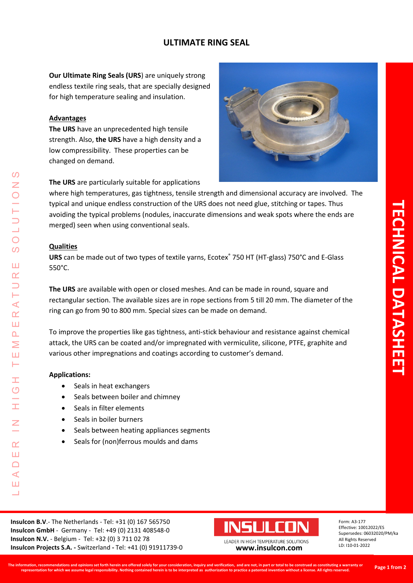## **ULTIMATE RING SEAL**

**Our Ultimate Ring Seals (URS**) are uniquely strong endless textile ring seals, that are specially designed for high temperature sealing and insulation.

### **Advantages**

**The URS** have an unprecedented high tensile strength. Also, **the URS** have a high density and a low compressibility. These properties can be changed on demand.



**The URS** are particularly suitable for applications

where high temperatures, gas tightness, tensile strength and dimensional accuracy are involved. The typical and unique endless construction of the URS does not need glue, stitching or tapes. Thus avoiding the typical problems (nodules, inaccurate dimensions and weak spots where the ends are merged) seen when using conventional seals.

#### **Qualities**

URS can be made out of two types of textile yarns, Ecotex<sup>®</sup> 750 HT (HT-glass) 750°C and E-Glass 550°C.

**The URS** are available with open or closed meshes. And can be made in round, square and rectangular section. The available sizes are in rope sections from 5 till 20 mm. The diameter of the ring can go from 90 to 800 mm. Special sizes can be made on demand.

To improve the properties like gas tightness, anti-stick behaviour and resistance against chemical attack, the URS can be coated and/or impregnated with vermiculite, silicone, PTFE, graphite and various other impregnations and coatings according to customer's demand.

#### **Applications:**

LEADER IN HIGH TEMPERATURE SOLUTIONS

Ì  $\overline{O}$ 

Ŧ

Z

 $\mathsf{r}$ Ш  $\Box$  $\blacktriangleleft$ Ш

⋖  $\alpha$ ш  $\mathbf{\Omega}$ Σ Ш Н

 $\Omega$ 

 $\overline{O}$  $\overline{O}$ 

Ш  $\alpha$  $\overline{\phantom{0}}$ 

- Seals in heat exchangers
- Seals between boiler and chimney
- Seals in filter elements
- Seals in boiler burners
- Seals between heating appliances segments
- Seals for (non)ferrous moulds and dams

**Insulcon B.V**.- The Netherlands - Tel: +31 (0) 167 565750 **Insulcon GmbH** - Germany - Tel: +49 (0) 2131 408548-0 **Insulcon N.V.** - Belgium - Tel: +32 (0) 3 711 02 78 **Insulcon Projects S.A. -** Switzerland **-** Tel: +41 (0) 91911739-0 **[www.insulcon.com](http://www.insulcon.com/)**



LEADER IN HIGH TEMPERATURE SOLUTIONS

Form: A3-177 Effective: 10012022/ES Supersedes: 06032020/PM/ka All Rights Reserved LD: I10-01-2022